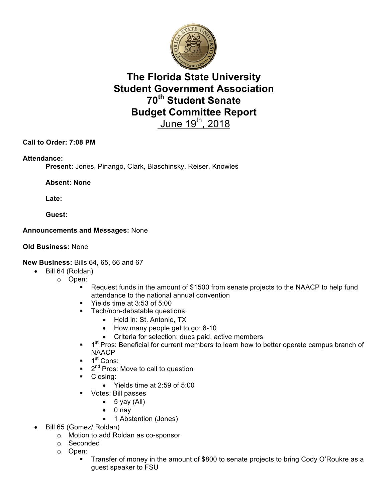

# **The Florida State University Student Government Association 70th Student Senate Budget Committee Report**  June  $19^{th}$ , 2018

### **Call to Order: 7:08 PM**

#### **Attendance:**

**Present:** Jones, Pinango, Clark, Blaschinsky, Reiser, Knowles

**Absent: None**

**Late:**

**Guest:**

#### **Announcements and Messages:** None

#### **Old Business:** None

#### **New Business:** Bills 64, 65, 66 and 67

- Bill 64 (Roldan)
	- o Open:
		- § Request funds in the amount of \$1500 from senate projects to the NAACP to help fund attendance to the national annual convention
		- § Yields time at 3:53 of 5:00
		- **•** Tech/non-debatable questions:
			- Held in: St. Antonio, TX
			- How many people get to go: 8-10
			- Criteria for selection: dues paid, active members
		- 1<sup>st</sup> Pros: Beneficial for current members to learn how to better operate campus branch of **NAACP**
		- $\blacksquare$  1<sup>st</sup> Cons:
		- $\bullet$  2<sup>nd</sup> Pros: Move to call to question
		- Closing:
			- Yields time at 2:59 of 5:00
		- Votes: Bill passes
			- $\bullet$  5 yay (All)
			- 0 nay
			- 1 Abstention (Jones)
- Bill 65 (Gomez/ Roldan)
	- o Motion to add Roldan as co-sponsor
	- o Seconded
	- o Open:
		- Transfer of money in the amount of \$800 to senate projects to bring Cody O'Roukre as a guest speaker to FSU